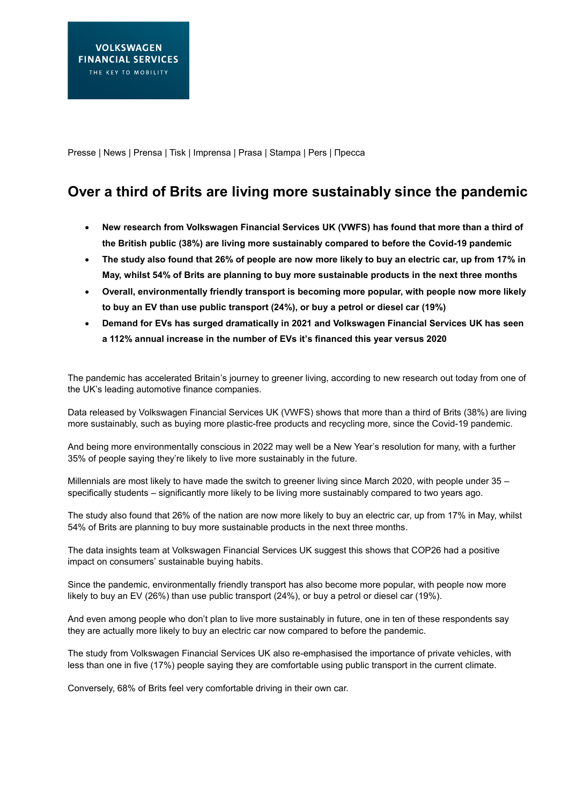Presse | News | Prensa | Tisk | Imprensa | Prasa | Stampa | Pers | Пресса

## **Over a third of Brits are living more sustainably since the pandemic**

- **New research from Volkswagen Financial Services UK (VWFS) has found that more than a third of the British public (38%) are living more sustainably compared to before the Covid-19 pandemic**
- **The study also found that 26% of people are now more likely to buy an electric car, up from 17% in May, whilst 54% of Brits are planning to buy more sustainable products in the next three months**
- **Overall, environmentally friendly transport is becoming more popular, with people now more likely to buy an EV than use public transport (24%), or buy a petrol or diesel car (19%)**
- **Demand for EVs has surged dramatically in 2021 and Volkswagen Financial Services UK has seen a 112% annual increase in the number of EVs it's financed this year versus 2020**

The pandemic has accelerated Britain's journey to greener living, according to new research out today from one of the UK's leading automotive finance companies.

Data released by Volkswagen Financial Services UK (VWFS) shows that more than a third of Brits (38%) are living more sustainably, such as buying more plastic-free products and recycling more, since the Covid-19 pandemic.

And being more environmentally conscious in 2022 may well be a New Year's resolution for many, with a further 35% of people saying they're likely to live more sustainably in the future.

Millennials are most likely to have made the switch to greener living since March 2020, with people under 35 – specifically students – significantly more likely to be living more sustainably compared to two years ago.

The study also found that 26% of the nation are now more likely to buy an electric car, up from 17% in May, whilst 54% of Brits are planning to buy more sustainable products in the next three months.

The data insights team at Volkswagen Financial Services UK suggest this shows that COP26 had a positive impact on consumers' sustainable buying habits.

Since the pandemic, environmentally friendly transport has also become more popular, with people now more likely to buy an EV (26%) than use public transport (24%), or buy a petrol or diesel car (19%).

And even among people who don't plan to live more sustainably in future, one in ten of these respondents say they are actually more likely to buy an electric car now compared to before the pandemic.

The study from Volkswagen Financial Services UK also re-emphasised the importance of private vehicles, with less than one in five (17%) people saying they are comfortable using public transport in the current climate.

Conversely, 68% of Brits feel very comfortable driving in their own car.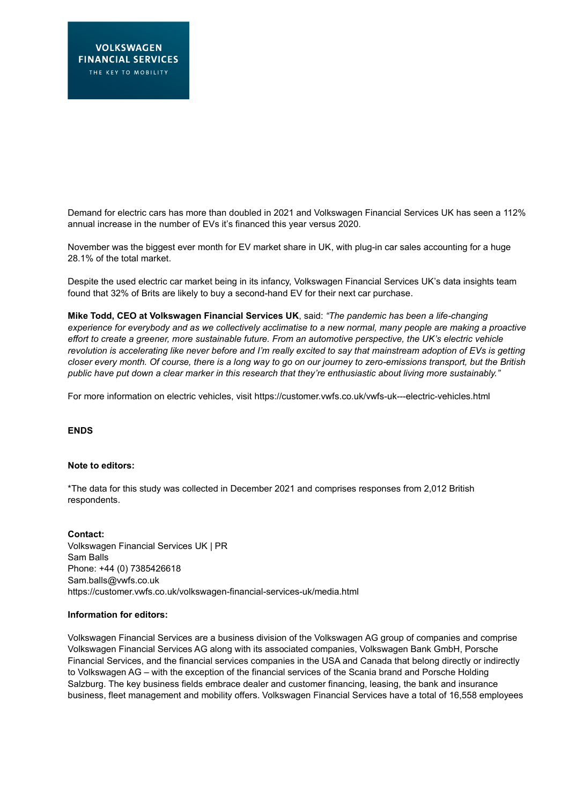Demand for electric cars has more than doubled in 2021 and Volkswagen Financial Services UK has seen a 112% annual increase in the number of EVs it's financed this year versus 2020.

November was the biggest ever month for EV market share in UK, with plug-in car sales accounting for a huge 28.1% of the total market.

Despite the used electric car market being in its infancy, Volkswagen Financial Services UK's data insights team found that 32% of Brits are likely to buy a second-hand EV for their next car purchase.

**Mike Todd, CEO at Volkswagen Financial Services UK**, said: *"The pandemic has been a life-changing experience for everybody and as we collectively acclimatise to a new normal, many people are making a proactive effort to create a greener, more sustainable future. From an automotive perspective, the UK's electric vehicle revolution is accelerating like never before and I'm really excited to say that mainstream adoption of EVs is getting closer every month. Of course, there is a long way to go on our journey to zero-emissions transport, but the British public have put down a clear marker in this research that they're enthusiastic about living more sustainably."*

For more information on electric vehicles, visit<https://customer.vwfs.co.uk/vwfs-uk---electric-vehicles.html>

## **ENDS**

## **Note to editors:**

\*The data for this study was collected in December 2021 and comprises responses from 2,012 British respondents.

**Contact:**  Volkswagen Financial Services UK | PR Sam Balls Phone: +44 (0) 7385426618 Sam.balls@vwfs.co.uk <https://customer.vwfs.co.uk/volkswagen-financial-services-uk/media.html>

## **Information for editors:**

Volkswagen Financial Services are a business division of the Volkswagen AG group of companies and comprise Volkswagen Financial Services AG along with its associated companies, Volkswagen Bank GmbH, Porsche Financial Services, and the financial services companies in the USA and Canada that belong directly or indirectly to Volkswagen AG – with the exception of the financial services of the Scania brand and Porsche Holding Salzburg. The key business fields embrace dealer and customer financing, leasing, the bank and insurance business, fleet management and mobility offers. Volkswagen Financial Services have a total of 16,558 employees